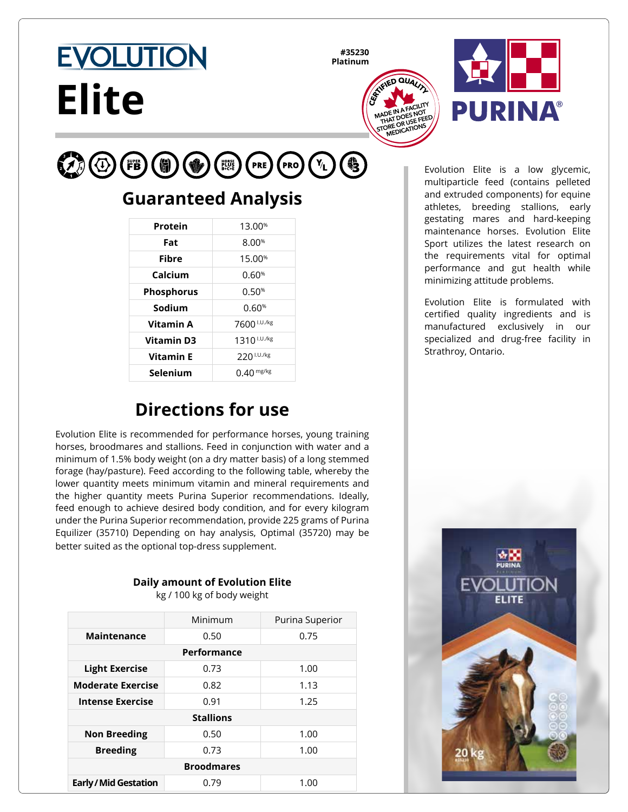#### **#35230 Platinum**





#### $\mathcal{L}(\Phi)$  $(Y_{L})$  $(FB)$ 6 (PRO) **PRE**

**Elite** 

**EVOLUTION** 

### **Guaranteed Analysis**

| Protein           | 13.00 <sup>%</sup>      |
|-------------------|-------------------------|
| Fat               | 8.00%                   |
| <b>Fibre</b>      | 15.00 <sup>%</sup>      |
| Calcium           | 0.60%                   |
| <b>Phosphorus</b> | 0.50%                   |
| Sodium            | 0.60%                   |
| Vitamin A         | 7600 I.U./kg            |
| <b>Vitamin D3</b> | 1310 <sup>I.U./kg</sup> |
| <b>Vitamin E</b>  | 220 I.U./kg             |
| Selenium          | $0.40$ mg/kg            |

# **Directions for use**

Evolution Elite is recommended for performance horses, young training horses, broodmares and stallions. Feed in conjunction with water and a minimum of 1.5% body weight (on a dry matter basis) of a long stemmed forage (hay/pasture). Feed according to the following table, whereby the lower quantity meets minimum vitamin and mineral requirements and the higher quantity meets Purina Superior recommendations. Ideally, feed enough to achieve desired body condition, and for every kilogram under the Purina Superior recommendation, provide 225 grams of Purina Equilizer (35710) Depending on hay analysis, Optimal (35720) may be better suited as the optional top-dress supplement.

### **Daily amount of Evolution Elite**

kg / 100 kg of body weight

|                            | Minimum | Purina Superior |  |
|----------------------------|---------|-----------------|--|
| <b>Maintenance</b>         | 0.50    | 0.75            |  |
| Performance                |         |                 |  |
| <b>Light Exercise</b>      | 0.73    | 1.00            |  |
| <b>Moderate Exercise</b>   | 0.82    | 1.13            |  |
| <b>Intense Exercise</b>    | 0.91    | 1.25            |  |
| <b>Stallions</b>           |         |                 |  |
| <b>Non Breeding</b>        | 0.50    | 1.00            |  |
| <b>Breeding</b>            | 0.73    | 1.00            |  |
| <b>Broodmares</b>          |         |                 |  |
| <b>Early/Mid Gestation</b> | 0.79    | 1.00            |  |

Evolution Elite is a low glycemic, multiparticle feed (contains pelleted and extruded components) for equine athletes, breeding stallions, early gestating mares and hard-keeping maintenance horses. Evolution Elite Sport utilizes the latest research on the requirements vital for optimal performance and gut health while minimizing attitude problems.

Evolution Elite is formulated with certified quality ingredients and is manufactured exclusively in our specialized and drug-free facility in Strathroy, Ontario.